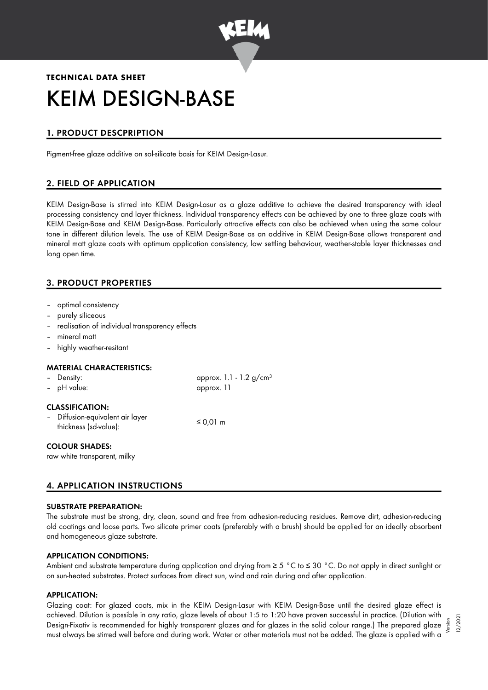

# **TECHNICAL DATA SHEET** KEIM DESIGN-BASE

# 1. PRODUCT DESCPRIPTION

Pigment-free glaze additive on sol-silicate basis for KEIM Design-Lasur.

## 2. FIELD OF APPLICATION

KEIM Design-Base is stirred into KEIM Design-Lasur as a glaze additive to achieve the desired transparency with ideal processing consistency and layer thickness. Individual transparency effects can be achieved by one to three glaze coats with KEIM Design-Base and KEIM Design-Base. Particularly attractive effects can also be achieved when using the same colour tone in different dilution levels. The use of KEIM Design-Base as an additive in KEIM Design-Base allows transparent and mineral matt glaze coats with optimum application consistency, low settling behaviour, weather-stable layer thicknesses and long open time.

## 3. PRODUCT PROPERTIES

- optimal consistency
- purely siliceous
- realisation of individual transparency effects
- mineral matt
- highly weather-resitant

#### MATERIAL CHARACTERISTICS:

| - Density:<br>- pH value:                                                           | approx. $1.1 - 1.2$ g/cm <sup>3</sup><br>approx. 11 |
|-------------------------------------------------------------------------------------|-----------------------------------------------------|
| <b>CLASSIFICATION:</b><br>- Diffusion-equivalent air layer<br>thickness (sd-value): | $\leq$ 0.01 m                                       |
| <b>COLOUR SHADES:</b><br>raw white transparent, milky                               |                                                     |

# 4. APPLICATION INSTRUCTIONS

#### SUBSTRATE PREPARATION:

The substrate must be strong, dry, clean, sound and free from adhesion-reducing residues. Remove dirt, adhesion-reducing old coatings and loose parts. Two silicate primer coats (preferably with a brush) should be applied for an ideally absorbent and homogeneous glaze substrate.

#### APPLICATION CONDITIONS:

Ambient and substrate temperature during application and drying from ≥ 5 °C to ≤ 30 °C. Do not apply in direct sunlight or on sun-heated substrates. Protect surfaces from direct sun, wind and rain during and after application.

#### APPLICATION:

Glazing coat: For glazed coats, mix in the KEIM Design-Lasur with KEIM Design-Base until the desired glaze effect is achieved. Dilution is possible in any ratio, glaze levels of about 1:5 to 1:20 have proven successful in practice. (Dilution with Design-Fixativ is recommended for highly transparent glazes and for glazes in the solid colour range.) The prepared glaze must always be stirred well before and during work. Water or other materials must not be added. The glaze is applied with a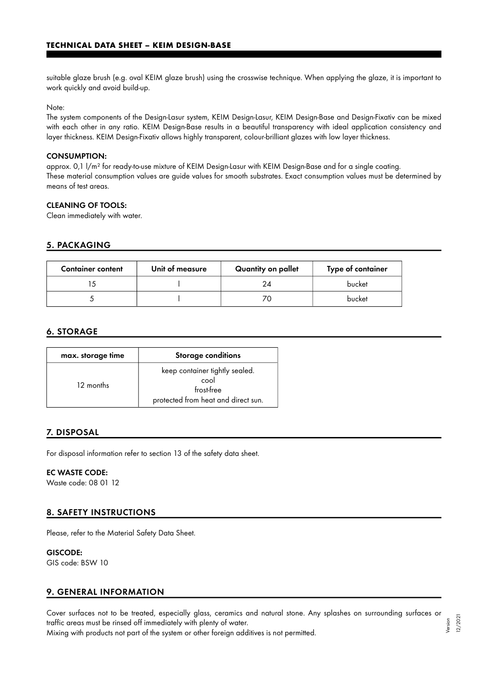suitable glaze brush (e.g. oval KEIM glaze brush) using the crosswise technique. When applying the glaze, it is important to work quickly and avoid build-up.

Note:

The system components of the Design-Lasur system, KEIM Design-Lasur, KEIM Design-Base and Design-Fixativ can be mixed with each other in any ratio. KEIM Design-Base results in a beautiful transparency with ideal application consistency and layer thickness. KEIM Design-Fixativ allows highly transparent, colour-brilliant glazes with low layer thickness.

#### CONSUMPTION:

approx. 0,1 l/m² for ready-to-use mixture of KEIM Design-Lasur with KEIM Design-Base and for a single coating. These material consumption values are guide values for smooth substrates. Exact consumption values must be determined by means of test areas.

#### CLEANING OF TOOLS:

Clean immediately with water.

#### 5. PACKAGING

| <b>Container content</b> | Unit of measure | Quantity on pallet | Type of container |
|--------------------------|-----------------|--------------------|-------------------|
|                          |                 | 24                 | bucket            |
|                          |                 | 70                 | bucket            |

#### 6. STORAGE

| max. storage time | <b>Storage conditions</b>                                                                   |
|-------------------|---------------------------------------------------------------------------------------------|
| 12 months         | keep container tightly sealed.<br>cool<br>frost-free<br>protected from heat and direct sun. |

#### 7. DISPOSAL

For disposal information refer to section 13 of the safety data sheet.

#### EC WASTE CODE:

Waste code: 08 01 12

#### 8. SAFETY INSTRUCTIONS

Please, refer to the Material Safety Data Sheet.

#### GISCODE:

GIS code: BSW 10

#### 9. GENERAL INFORMATION

Cover surfaces not to be treated, especially glass, ceramics and natural stone. Any splashes on surrounding surfaces or traffic areas must be rinsed off immediately with plenty of water. Version

Mixing with products not part of the system or other foreign additives is not permitted.